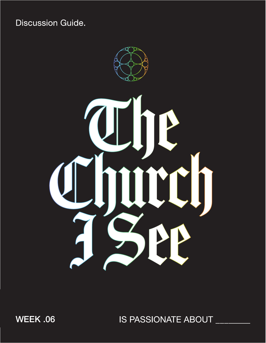**Discussion Guide.** 



WEEK .06

IS PASSIONATE ABOUT \_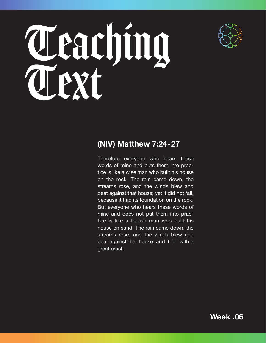

# Teaching

### **(NIV) Matthew 7:24-27**

Therefore everyone who hears these words of mine and puts them into practice is like a wise man who built his house on the rock. The rain came down, the streams rose, and the winds blew and beat against that house; yet it did not fall, because it had its foundation on the rock. But everyone who hears these words of mine and does not put them into practice is like a foolish man who built his house on sand. The rain came down, the streams rose, and the winds blew and beat against that house, and it fell with a great crash.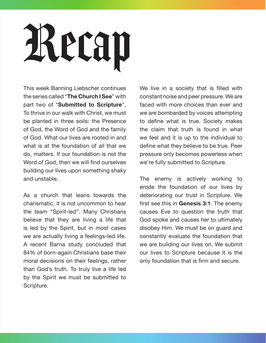## Recap

This week Banning Liebscher continues the series called "**The Church I See**" with part two of "**Submitted to Scripture**". To thrive in our walk with Christ, we must be planted in three soils: the Presence of God, the Word of God and the family of God. What our lives are rooted in and what is at the foundation of all that we do, matters. If our foundation is not the Word of God, then we will find ourselves building our lives upon something shaky and unstable.

As a church that leans towards the charismatic, it is not uncommon to hear the team "Spirit-led". Many Christians believe that they are living a life that is led by the Spirit, but in most cases we are actually living a feelings-led life. A recent Barna study concluded that 84% of born-again Christians base their moral decisions on their feelings, rather than God's truth. To truly live a life led by the Spirit we must be submitted to Scripture.

We live in a society that is filled with constant noise and peer pressure. We are faced with more choices than ever and we are bombarded by voices attempting to define what is true. Society makes the claim that truth is found in what we feel and it is up to the individual to define what they believe to be true. Peer pressure only becomes powerless when we're fully submitted to Scripture.

The enemy is actively working to erode the foundation of our lives by deteriorating our trust in Scripture. We first see this in **Genesis 3:1**. The enemy causes Eve to question the truth that God spoke and causes her to ultimately disobey Him. We must be on guard and constantly evaluate the foundation that we are building our lives on. We submit our lives to Scripture because it is the only foundation that is firm and secure.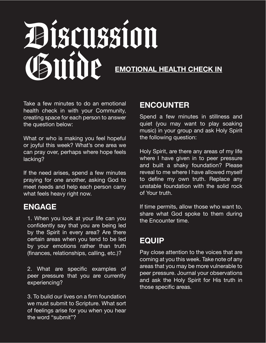### Discussion Guide **EMOTIONAL HEALTH CHECK IN**

Take a few minutes to do an emotional health check in with your Community, creating space for each person to answer the question below:

What or who is making you feel hopeful or joyful this week? What's one area we can pray over, perhaps where hope feels lacking?

If the need arises, spend a few minutes praying for one another, asking God to meet needs and help each person carry what feels heavy right now.

#### **ENGAGE**

1. When you look at your life can you confidently say that you are being led by the Spirit in every area? Are there certain areas when you tend to be led by your emotions rather than truth (finances, relationships, calling, etc.)?

2. What are specific examples of peer pressure that you are currently experiencing?

3. To build our lives on a firm foundation we must submit to Scripture. What sort of feelings arise for you when you hear the word "submit"?

### **ENCOUNTER**

Spend a few minutes in stillness and quiet (you may want to play soaking music) in your group and ask Holy Spirit the following question:

Holy Spirit, are there any areas of my life where I have given in to peer pressure and built a shaky foundation? Please reveal to me where I have allowed myself to define my own truth. Replace any unstable foundation with the solid rock of Your truth.

If time permits, allow those who want to, share what God spoke to them during the Encounter time.

### **EQUIP**

Pay close attention to the voices that are coming at you this week. Take note of any areas that you may be more vulnerable to peer pressure. Journal your observations and ask the Holy Spirit for His truth in those specific areas.